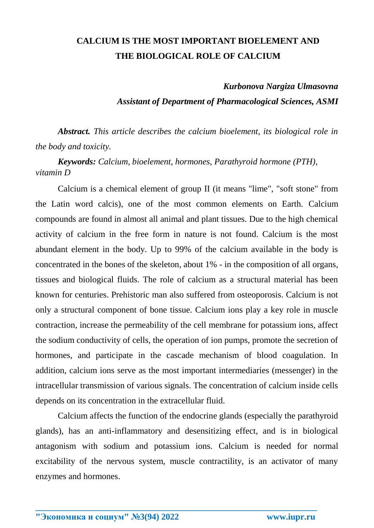## **CALCIUM IS THE MOST IMPORTANT BIOELEMENT AND THE BIOLOGICAL ROLE OF CALCIUM**

## *Kurbonova Nargiza Ulmasovna*

*Assistant of Department of Pharmacological Sciences, ASMI*

*Abstract. This article describes the calcium bioelement, its biological role in the body and toxicity.*

*Keywords: Calcium, bioelement, hormones, Parathyroid hormone (PTH), vitamin D* 

Calcium is a chemical element of group II (it means "lime", "soft stone" from the Latin word calcis), one of the most common elements on Earth. Calcium compounds are found in almost all animal and plant tissues. Due to the high chemical activity of calcium in the free form in nature is not found. Calcium is the most abundant element in the body. Up to 99% of the calcium available in the body is concentrated in the bones of the skeleton, about 1% - in the composition of all organs, tissues and biological fluids. The role of calcium as a structural material has been known for centuries. Prehistoric man also suffered from osteoporosis. Calcium is not only a structural component of bone tissue. Calcium ions play a key role in muscle contraction, increase the permeability of the cell membrane for potassium ions, affect the sodium conductivity of cells, the operation of ion pumps, promote the secretion of hormones, and participate in the cascade mechanism of blood coagulation. In addition, calcium ions serve as the most important intermediaries (messenger) in the intracellular transmission of various signals. The concentration of calcium inside cells depends on its concentration in the extracellular fluid.

Calcium affects the function of the endocrine glands (especially the parathyroid glands), has an anti-inflammatory and desensitizing effect, and is in biological antagonism with sodium and potassium ions. Calcium is needed for normal excitability of the nervous system, muscle contractility, is an activator of many enzymes and hormones.

**\_\_\_\_\_\_\_\_\_\_\_\_\_\_\_\_\_\_\_\_\_\_\_\_\_\_\_\_\_\_\_\_\_\_\_\_\_\_\_\_\_\_\_\_\_\_\_\_\_\_\_\_\_\_\_\_\_\_\_\_\_\_\_\_**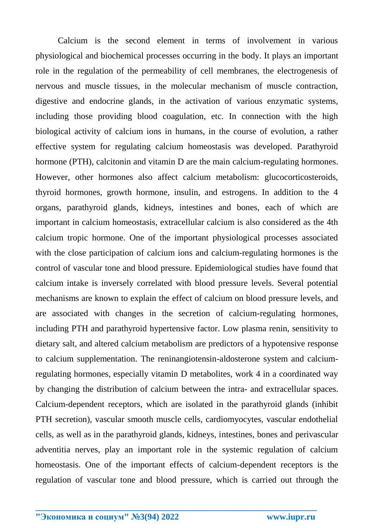Calcium is the second element in terms of involvement in various physiological and biochemical processes occurring in the body. It plays an important role in the regulation of the permeability of cell membranes, the electrogenesis of nervous and muscle tissues, in the molecular mechanism of muscle contraction, digestive and endocrine glands, in the activation of various enzymatic systems, including those providing blood coagulation, etc. In connection with the high biological activity of calcium ions in humans, in the course of evolution, a rather effective system for regulating calcium homeostasis was developed. Parathyroid hormone (PTH), calcitonin and vitamin D are the main calcium-regulating hormones. However, other hormones also affect calcium metabolism: glucocorticosteroids, thyroid hormones, growth hormone, insulin, and estrogens. In addition to the 4 organs, parathyroid glands, kidneys, intestines and bones, each of which are important in calcium homeostasis, extracellular calcium is also considered as the 4th calcium tropic hormone. One of the important physiological processes associated with the close participation of calcium ions and calcium-regulating hormones is the control of vascular tone and blood pressure. Epidemiological studies have found that calcium intake is inversely correlated with blood pressure levels. Several potential mechanisms are known to explain the effect of calcium on blood pressure levels, and are associated with changes in the secretion of calcium-regulating hormones, including PTH and parathyroid hypertensive factor. Low plasma renin, sensitivity to dietary salt, and altered calcium metabolism are predictors of a hypotensive response to calcium supplementation. The reninangiotensin-aldosterone system and calciumregulating hormones, especially vitamin D metabolites, work 4 in a coordinated way by changing the distribution of calcium between the intra- and extracellular spaces. Calcium-dependent receptors, which are isolated in the parathyroid glands (inhibit PTH secretion), vascular smooth muscle cells, cardiomyocytes, vascular endothelial cells, as well as in the parathyroid glands, kidneys, intestines, bones and perivascular adventitia nerves, play an important role in the systemic regulation of calcium homeostasis. One of the important effects of calcium-dependent receptors is the regulation of vascular tone and blood pressure, which is carried out through the

**\_\_\_\_\_\_\_\_\_\_\_\_\_\_\_\_\_\_\_\_\_\_\_\_\_\_\_\_\_\_\_\_\_\_\_\_\_\_\_\_\_\_\_\_\_\_\_\_\_\_\_\_\_\_\_\_\_\_\_\_\_\_\_\_**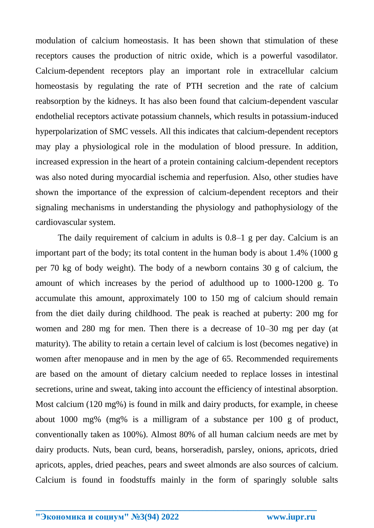modulation of calcium homeostasis. It has been shown that stimulation of these receptors causes the production of nitric oxide, which is a powerful vasodilator. Calcium-dependent receptors play an important role in extracellular calcium homeostasis by regulating the rate of PTH secretion and the rate of calcium reabsorption by the kidneys. It has also been found that calcium-dependent vascular endothelial receptors activate potassium channels, which results in potassium-induced hyperpolarization of SMC vessels. All this indicates that calcium-dependent receptors may play a physiological role in the modulation of blood pressure. In addition, increased expression in the heart of a protein containing calcium-dependent receptors was also noted during myocardial ischemia and reperfusion. Also, other studies have shown the importance of the expression of calcium-dependent receptors and their signaling mechanisms in understanding the physiology and pathophysiology of the cardiovascular system.

The daily requirement of calcium in adults is 0.8–1 g per day. Calcium is an important part of the body; its total content in the human body is about 1.4% (1000 g per 70 kg of body weight). The body of a newborn contains 30 g of calcium, the amount of which increases by the period of adulthood up to 1000-1200 g. To accumulate this amount, approximately 100 to 150 mg of calcium should remain from the diet daily during childhood. The peak is reached at puberty: 200 mg for women and 280 mg for men. Then there is a decrease of 10–30 mg per day (at maturity). The ability to retain a certain level of calcium is lost (becomes negative) in women after menopause and in men by the age of 65. Recommended requirements are based on the amount of dietary calcium needed to replace losses in intestinal secretions, urine and sweat, taking into account the efficiency of intestinal absorption. Most calcium (120 mg%) is found in milk and dairy products, for example, in cheese about 1000 mg% (mg% is a milligram of a substance per 100 g of product, conventionally taken as 100%). Almost 80% of all human calcium needs are met by dairy products. Nuts, bean curd, beans, horseradish, parsley, onions, apricots, dried apricots, apples, dried peaches, pears and sweet almonds are also sources of calcium. Calcium is found in foodstuffs mainly in the form of sparingly soluble salts

**\_\_\_\_\_\_\_\_\_\_\_\_\_\_\_\_\_\_\_\_\_\_\_\_\_\_\_\_\_\_\_\_\_\_\_\_\_\_\_\_\_\_\_\_\_\_\_\_\_\_\_\_\_\_\_\_\_\_\_\_\_\_\_\_**